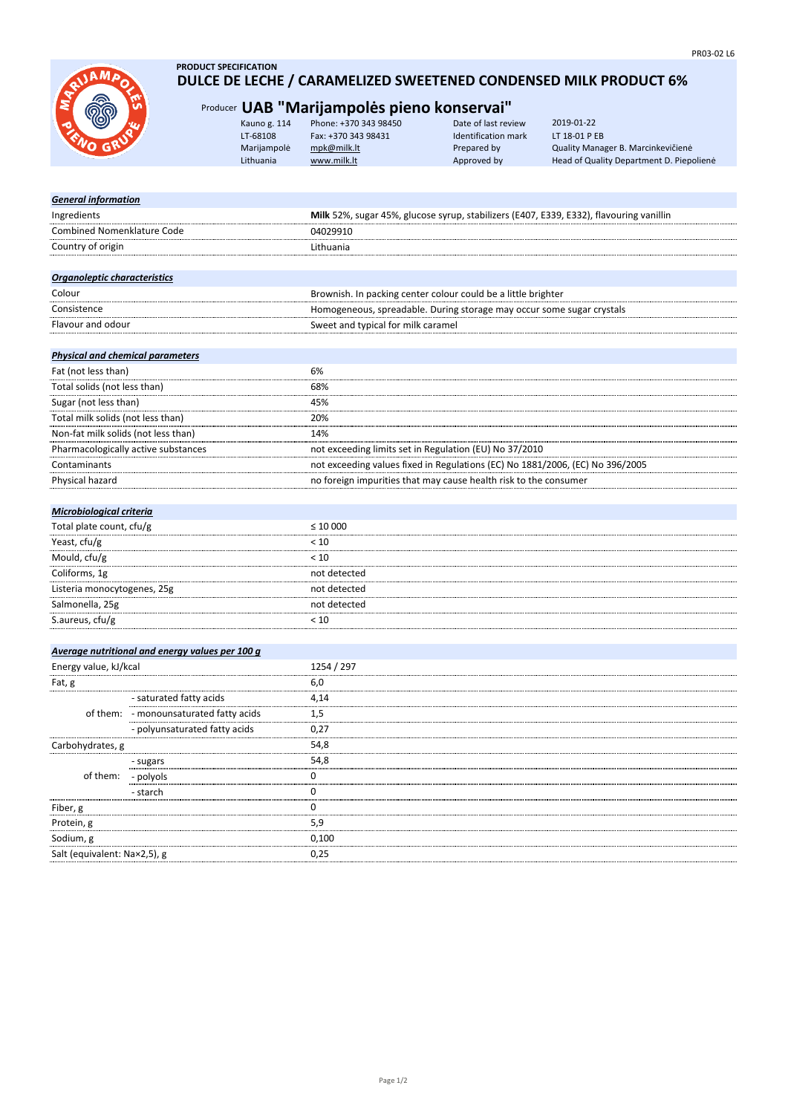

- starch

Salt (equivalent: Na×2,5), g

Fiber, g Protein, g Sodium, g

### **PRODUCT SPECIFICATION DULCE DE LECHE / CARAMELIZED SWEETENED CONDENSED MILK PRODUCT 6%**

# Producer **UAB "Marijampolės pieno konservai"**

| Kauno g. 114 | Phone: +370 343 98450 | Date of last review | 2019-01-22                               |
|--------------|-----------------------|---------------------|------------------------------------------|
| LT-68108     | Fax: +370 343 98431   | Identification mark | LT 18-01 P EB                            |
| Marijampolė  | mpk@milk.lt           | Prepared by         | Quality Manager B. Marcinkevičienė       |
| Lithuania    | www.milk.lt           | Approved by         | Head of Quality Department D. Piepolienė |
|              |                       |                     |                                          |

| <b>General information</b>              |                                                 |                                                                                         |  |  |
|-----------------------------------------|-------------------------------------------------|-----------------------------------------------------------------------------------------|--|--|
| Ingredients                             |                                                 | Milk 52%, sugar 45%, glucose syrup, stabilizers (E407, E339, E332), flavouring vanillin |  |  |
| Combined Nomenklature Code              |                                                 | 04029910                                                                                |  |  |
| Country of origin                       |                                                 | Lithuania                                                                               |  |  |
|                                         |                                                 |                                                                                         |  |  |
| Organoleptic characteristics            |                                                 |                                                                                         |  |  |
| Colour                                  |                                                 | Brownish. In packing center colour could be a little brighter                           |  |  |
| Consistence                             |                                                 | Homogeneous, spreadable. During storage may occur some sugar crystals                   |  |  |
| Flavour and odour                       |                                                 | Sweet and typical for milk caramel                                                      |  |  |
|                                         |                                                 |                                                                                         |  |  |
| <b>Physical and chemical parameters</b> |                                                 |                                                                                         |  |  |
| Fat (not less than)                     |                                                 | 6%                                                                                      |  |  |
| Total solids (not less than)            |                                                 | 68%                                                                                     |  |  |
| Sugar (not less than)                   |                                                 | 45%                                                                                     |  |  |
| Total milk solids (not less than)       |                                                 | 20%                                                                                     |  |  |
| Non-fat milk solids (not less than)     |                                                 | 14%                                                                                     |  |  |
| Pharmacologically active substances     |                                                 | not exceeding limits set in Regulation (EU) No 37/2010                                  |  |  |
| Contaminants                            |                                                 | not exceeding values fixed in Regulations (EC) No 1881/2006, (EC) No 396/2005           |  |  |
| Physical hazard                         |                                                 | no foreign impurities that may cause health risk to the consumer                        |  |  |
|                                         |                                                 |                                                                                         |  |  |
| Microbiological criteria                |                                                 |                                                                                         |  |  |
| Total plate count, cfu/g                |                                                 | $\leq 10000$                                                                            |  |  |
| Yeast, cfu/g                            |                                                 | < 10                                                                                    |  |  |
| Mould, cfu/g                            |                                                 | < 10                                                                                    |  |  |
| Coliforms, 1g                           |                                                 | not detected                                                                            |  |  |
| Listeria monocytogenes, 25g             |                                                 | not detected                                                                            |  |  |
| Salmonella, 25g                         |                                                 | not detected                                                                            |  |  |
| S.aureus, cfu/g                         |                                                 | < 10                                                                                    |  |  |
|                                         |                                                 |                                                                                         |  |  |
|                                         | Average nutritional and energy values per 100 g |                                                                                         |  |  |
| Energy value, kJ/kcal                   |                                                 | 1254 / 297                                                                              |  |  |
| Fat, g                                  |                                                 | 6,0                                                                                     |  |  |
|                                         | - saturated fatty acids                         | 4,14                                                                                    |  |  |
|                                         | of them: - monounsaturated fatty acids          | 1,5                                                                                     |  |  |
|                                         | - polyunsaturated fatty acids                   | 0,27                                                                                    |  |  |
| Carbohydrates, g                        |                                                 | 54,8                                                                                    |  |  |
|                                         | - sugars                                        | 54,8                                                                                    |  |  |
| of them:                                | - polyols                                       | 0                                                                                       |  |  |
|                                         |                                                 |                                                                                         |  |  |

5,9 0,100

 $\overline{0}$ 0